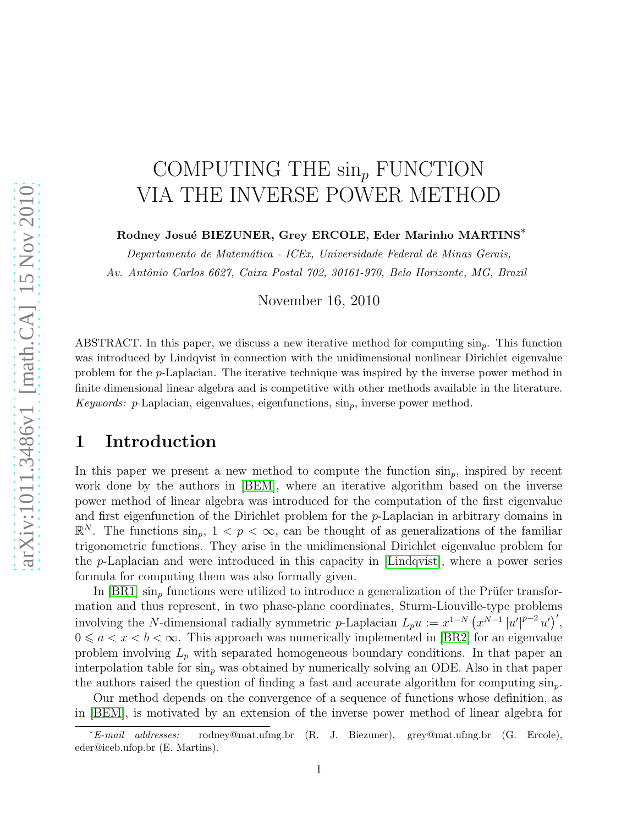# COMPUTING THE  $\sin_p$  FUNCTION VIA THE INVERSE POWER METHOD

#### Rodney Josué BIEZUNER, Grey ERCOLE, Eder Marinho MARTINS<sup>\*</sup>

*Departamento de Matem´atica - ICEx, Universidade Federal de Minas Gerais, Av. Antˆonio Carlos 6627, Caixa Postal 702, 30161-970, Belo Horizonte, MG, Brazil*

November 16, 2010

ABSTRACT. In this paper, we discuss a new iterative method for computing  $\sin_p$ . This function was introduced by Lindqvist in connection with the unidimensional nonlinear Dirichlet eigenvalue problem for the p-Laplacian. The iterative technique was inspired by the inverse power method in finite dimensional linear algebra and is competitive with other methods available in the literature. *Keywords:* p-Laplacian, eigenvalues, eigenfunctions,  $\sin_p$ , inverse power method.

### 1 Introduction

In this paper we present a new method to compute the function  $\sin_n$ , inspired by recent work done by the authors in [\[BEM\]](#page-12-0), where an iterative algorithm based on the inverse power method of linear algebra was introduced for the computation of the first eigenvalue and first eigenfunction of the Dirichlet problem for the p-Laplacian in arbitrary domains in  $\mathbb{R}^N$ . The functions  $\sin_p$ ,  $1 < p < \infty$ , can be thought of as generalizations of the familiar trigonometric functions. They arise in the unidimensional Dirichlet eigenvalue problem for the p-Laplacian and were introduced in this capacity in [\[Lindqvist\]](#page-12-1), where a power series formula for computing them was also formally given.

In  $[BR1]$  sin<sub>p</sub> functions were utilized to introduce a generalization of the Prüfer transformation and thus represent, in two phase-plane coordinates, Sturm-Liouville-type problems involving the N-dimensional radially symmetric p-Laplacian  $L_p u := x^{1-N} (x^{N-1} |u'|)$  $p-2$   $u'$ )',  $0 \leq a < x < b < \infty$ . This approach was numerically implemented in [\[BR2\]](#page-12-3) for an eigenvalue problem involving  $L_p$  with separated homogeneous boundary conditions. In that paper an interpolation table for  $\sin_p$  was obtained by numerically solving an ODE. Also in that paper the authors raised the question of finding a fast and accurate algorithm for computing  $\sin_n$ .

Our method depends on the convergence of a sequence of functions whose definition, as in [\[BEM\]](#page-12-0), is motivated by an extension of the inverse power method of linear algebra for

<sup>∗</sup>*E-mail addresses:* rodney@mat.ufmg.br (R. J. Biezuner), grey@mat.ufmg.br (G. Ercole), eder@iceb.ufop.br (E. Martins).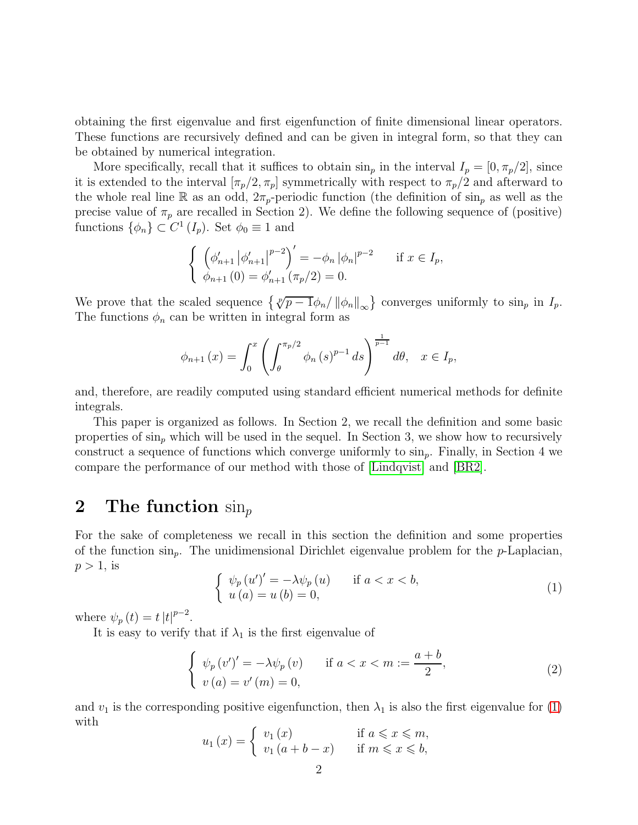obtaining the first eigenvalue and first eigenfunction of finite dimensional linear operators. These functions are recursively defined and can be given in integral form, so that they can be obtained by numerical integration.

More specifically, recall that it suffices to obtain  $\sin_p$  in the interval  $I_p = [0, \pi_p/2]$ , since it is extended to the interval  $[\pi_p/2, \pi_p]$  symmetrically with respect to  $\pi_p/2$  and afterward to the whole real line R as an odd,  $2\pi_p$ -periodic function (the definition of  $\sin_p$  as well as the precise value of  $\pi_p$  are recalled in Section 2). We define the following sequence of (positive) functions  $\{\phi_n\} \subset C^1(I_p)$ . Set  $\phi_0 \equiv 1$  and

$$
\begin{cases} \left(\phi_{n+1}'\left|\phi_{n+1}'\right|^{p-2}\right)' = -\phi_n \left|\phi_n\right|^{p-2} & \text{if } x \in I_p, \\ \phi_{n+1}(0) = \phi_{n+1}'\left(\pi_p/2\right) = 0. \end{cases}
$$

We prove that the scaled sequence  $\{\sqrt[p]{p-1}\phi_n/\|\phi_n\|_{\infty}\}$  converges uniformly to sin<sub>p</sub> in  $I_p$ . The functions  $\phi_n$  can be written in integral form as

$$
\phi_{n+1}(x) = \int_0^x \left( \int_{\theta}^{\pi_p/2} \phi_n(s)^{p-1} ds \right)^{\frac{1}{p-1}} d\theta, \quad x \in I_p,
$$

and, therefore, are readily computed using standard efficient numerical methods for definite integrals.

This paper is organized as follows. In Section 2, we recall the definition and some basic properties of  $\sin_p$  which will be used in the sequel. In Section 3, we show how to recursively construct a sequence of functions which converge uniformly to  $\sin_p$ . Finally, in Section 4 we compare the performance of our method with those of [\[Lindqvist\]](#page-12-1) and [\[BR2\]](#page-12-3).

#### 2 The function  $\sin_p$

For the sake of completeness we recall in this section the definition and some properties of the function  $\sin_n$ . The unidimensional Dirichlet eigenvalue problem for the *p*-Laplacian,  $p > 1$ , is

<span id="page-1-0"></span>
$$
\begin{cases}\n\psi_p(u')' = -\lambda \psi_p(u) & \text{if } a < x < b, \\
u(a) = u(b) = 0,\n\end{cases}
$$
\n(1)

where  $\psi_p(t) = t |t|^{p-2}$ .

It is easy to verify that if  $\lambda_1$  is the first eigenvalue of

$$
\begin{cases} \psi_p(v')' = -\lambda \psi_p(v) & \text{if } a < x < m := \frac{a+b}{2}, \\ v(a) = v'(m) = 0, \end{cases}
$$
 (2)

and  $v_1$  is the corresponding positive eigenfunction, then  $\lambda_1$  is also the first eigenvalue for [\(1\)](#page-1-0) with

$$
u_1(x) = \begin{cases} v_1(x) & \text{if } a \leq x \leq m, \\ v_1(a+b-x) & \text{if } m \leq x \leq b, \end{cases}
$$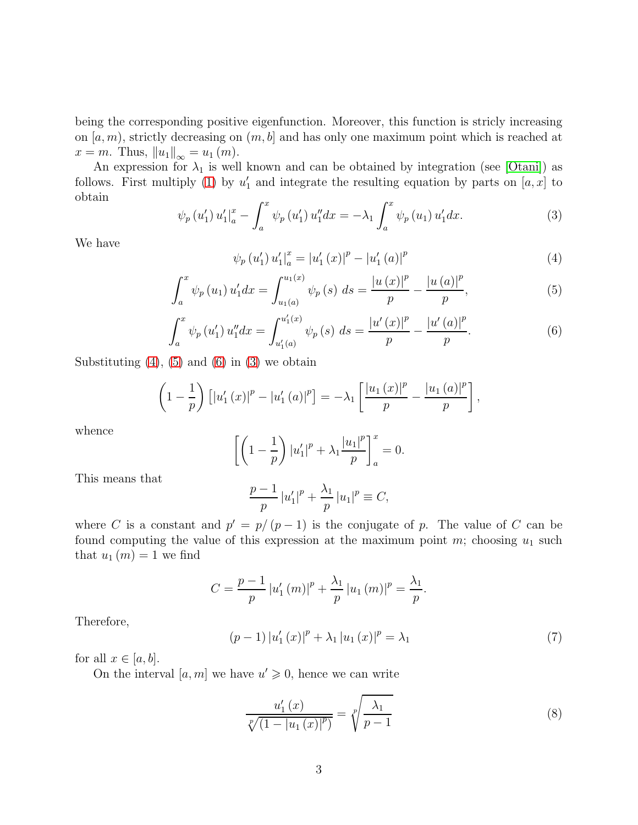being the corresponding positive eigenfunction. Moreover, this function is stricly increasing on  $[a, m)$ , strictly decreasing on  $(m, b]$  and has only one maximum point which is reached at  $x = m$ . Thus,  $||u_1||_{\infty} = u_1 (m)$ .

An expression for  $\lambda_1$  is well known and can be obtained by integration (see [\[Otani\]](#page-12-4)) as follows. First multiply [\(1\)](#page-1-0) by  $u_1'$  $\frac{1}{1}$  and integrate the resulting equation by parts on  $[a, x]$  to obtain

<span id="page-2-3"></span>
$$
\psi_p(u_1') u_1' \vert_a^x - \int_a^x \psi_p(u_1') u_1'' dx = -\lambda_1 \int_a^x \psi_p(u_1) u_1' dx. \tag{3}
$$

We have

<span id="page-2-0"></span>
$$
\psi_p(u_1') u_1' \vert_a^x = |u_1'(x)|^p - |u_1'(a)|^p \tag{4}
$$

<span id="page-2-1"></span>
$$
\int_{a}^{x} \psi_{p}(u_{1}) u'_{1} dx = \int_{u_{1}(a)}^{u_{1}(x)} \psi_{p}(s) ds = \frac{|u(x)|^{p}}{p} - \frac{|u(a)|^{p}}{p}, \tag{5}
$$

<span id="page-2-2"></span>
$$
\int_{a}^{x} \psi_{p}(u'_{1}) u''_{1} dx = \int_{u'_{1}(a)}^{u'_{1}(x)} \psi_{p}(s) ds = \frac{|u'(x)|^{p}}{p} - \frac{|u'(a)|^{p}}{p}.
$$
 (6)

Substituting  $(4)$ ,  $(5)$  and  $(6)$  in  $(3)$  we obtain

$$
\left(1 - \frac{1}{p}\right) \left[ \left|u'_{1}(x)\right|^{p} - \left|u'_{1}(a)\right|^{p} \right] = -\lambda_{1} \left[ \frac{\left|u_{1}(x)\right|^{p}}{p} - \frac{\left|u_{1}(a)\right|^{p}}{p} \right],
$$

whence

$$
\[ \left( 1 - \frac{1}{p} \right) |u'_1|^p + \lambda_1 \frac{|u_1|^p}{p} \]_a^x = 0.
$$

This means that

$$
\frac{p-1}{p} |u_1'|^p + \frac{\lambda_1}{p} |u_1|^p \equiv C,
$$

where C is a constant and  $p' = p/(p-1)$  is the conjugate of p. The value of C can be found computing the value of this expression at the maximum point  $m$ ; choosing  $u_1$  such that  $u_1(m) = 1$  we find

$$
C = \frac{p-1}{p} |u'_1(m)|^p + \frac{\lambda_1}{p} |u_1(m)|^p = \frac{\lambda_1}{p}.
$$

Therefore,

<span id="page-2-4"></span>
$$
(p-1) |u'_{1}(x)|^{p} + \lambda_{1} |u_{1}(x)|^{p} = \lambda_{1}
$$
\n(7)

for all  $x \in [a, b]$ .

On the interval  $[a, m]$  we have  $u' \geq 0$ , hence we can write

<span id="page-2-5"></span>
$$
\frac{u_1'(x)}{\sqrt[p]{(1-|u_1(x)|^p)}} = \sqrt[p]{\frac{\lambda_1}{p-1}}
$$
\n(8)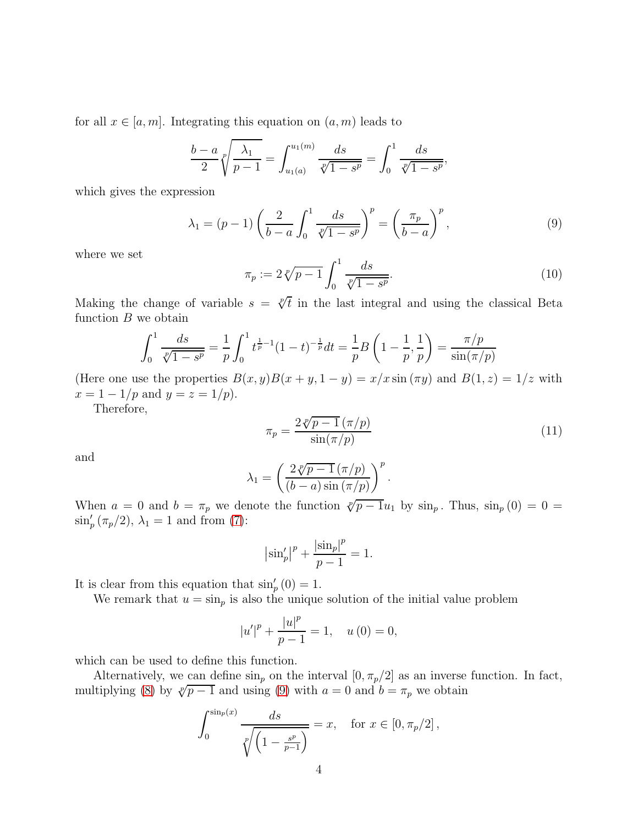for all  $x \in [a, m]$ . Integrating this equation on  $(a, m)$  leads to

$$
\frac{b-a}{2}\sqrt[p]{\frac{\lambda_1}{p-1}} = \int_{u_1(a)}^{u_1(m)} \frac{ds}{\sqrt[p]{1-s^p}} = \int_0^1 \frac{ds}{\sqrt[p]{1-s^p}},
$$

which gives the expression

<span id="page-3-0"></span>
$$
\lambda_1 = (p-1) \left( \frac{2}{b-a} \int_0^1 \frac{ds}{\sqrt[p]{1-s^p}} \right)^p = \left( \frac{\pi_p}{b-a} \right)^p, \tag{9}
$$

where we set

$$
\pi_p := 2\sqrt[p]{p-1} \int_0^1 \frac{ds}{\sqrt[p]{1-s^p}}.
$$
\n(10)

Making the change of variable  $s = \sqrt[p]{t}$  in the last integral and using the classical Beta function  $B$  we obtain

$$
\int_0^1 \frac{ds}{\sqrt[p]{1-s^p}} = \frac{1}{p} \int_0^1 t^{\frac{1}{p}-1} (1-t)^{-\frac{1}{p}} dt = \frac{1}{p} B\left(1 - \frac{1}{p}, \frac{1}{p}\right) = \frac{\pi/p}{\sin(\pi/p)}
$$

(Here one use the properties  $B(x, y)B(x + y, 1 - y) = x/x \sin(\pi y)$  and  $B(1, z) = 1/z$  with  $x = 1 - 1/p$  and  $y = z = 1/p$ .

Therefore,

$$
\pi_p = \frac{2\sqrt[p]{p-1} \left(\frac{\pi}{p}\right)}{\sin(\frac{\pi}{p})} \tag{11}
$$

and

$$
\lambda_1 = \left(\frac{2\sqrt[p]{p-1} \left(\frac{\pi}{p}\right)}{(b-a)\sin\left(\frac{\pi}{p}\right)}\right)^p.
$$

When  $a = 0$  and  $b = \pi_p$  we denote the function  $\sqrt[p]{p-1}u_1$  by  $\sin_p$ . Thus,  $\sin_p(0) = 0$  $\sin'_{p}(\pi_{p}/2), \lambda_{1} = 1$  and from [\(7\)](#page-2-4):

$$
|\sin'_{p}|^{p} + \frac{|\sin_{p}|^{p}}{p-1} = 1.
$$

It is clear from this equation that  $\sin'_{p}(0) = 1$ .

We remark that  $u = \sin_p$  is also the unique solution of the initial value problem

$$
|u'|^{p} + \frac{|u|^{p}}{p-1} = 1, \quad u(0) = 0,
$$

which can be used to define this function.

Alternatively, we can define  $\sin_p$  on the interval  $[0, \pi_p/2]$  as an inverse function. In fact, multiplying [\(8\)](#page-2-5) by  $\sqrt[p]{p-1}$  and using [\(9\)](#page-3-0) with  $a = 0$  and  $b = \pi_p$  we obtain

$$
\int_0^{\sin_p(x)} \frac{ds}{\sqrt[p]{\left(1 - \frac{s^p}{p-1}\right)}} = x, \quad \text{for } x \in [0, \pi_p/2],
$$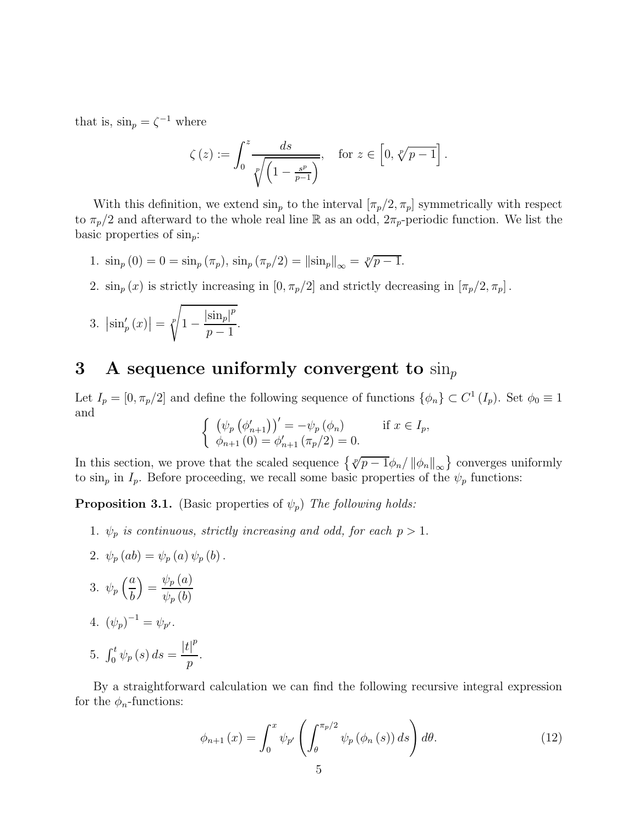that is,  $\sin_p = \zeta^{-1}$  where

$$
\zeta(z) := \int_0^z \frac{ds}{\sqrt[p]{\left(1 - \frac{s^p}{p-1}\right)}}, \quad \text{for } z \in \left[0, \sqrt[p]{p-1}\right].
$$

With this definition, we extend  $\sin_p$  to the interval  $[\pi_p/2, \pi_p]$  symmetrically with respect to  $\pi_p/2$  and afterward to the whole real line R as an odd,  $2\pi_p$ -periodic function. We list the basic properties of  $\sin_p$ :

- 1.  $\sin_p(0) = 0 = \sin_p(\pi_p), \sin_p(\pi_p/2) = ||\sin_p||_{\infty} = \sqrt[p]{p-1}.$
- 2.  $\sin_p(x)$  is strictly increasing in  $[0, \pi_p/2]$  and strictly decreasing in  $[\pi_p/2, \pi_p]$ .

3. 
$$
\left|\sin'_{p}(x)\right| = \sqrt[p]{1 - \frac{\left|\sin_{p}\right|^{p}}{p-1}}
$$
.

#### 3 A sequence uniformly convergent to  $\sin n$

Let  $I_p = [0, \pi_p/2]$  and define the following sequence of functions  $\{\phi_n\} \subset C^1(I_p)$ . Set  $\phi_0 \equiv 1$ and

$$
\begin{cases} (\psi_p(\phi'_{n+1}))' = -\psi_p(\phi_n) & \text{if } x \in I_p, \\ \phi_{n+1}(0) = \phi'_{n+1}(\pi_p/2) = 0. \end{cases}
$$

In this section, we prove that the scaled sequence  $\{ \sqrt[p]{p-1}\phi_n / ||\phi_n||_{\infty} \}$  converges uniformly to  $\sin_p$  in  $I_p$ . Before proceeding, we recall some basic properties of the  $\psi_p$  functions:

**Proposition 3.1.** (Basic properties of  $\psi_p$ ) The following holds:

- 1.  $\psi_p$  is continuous, strictly increasing and odd, for each  $p > 1$ .
- 2.  $\psi_p(ab) = \psi_p(a) \psi_p(b)$ . 3.  $\psi_p\left(\frac{a}{b}\right)$ b  $= \frac{\psi_p(a)}{a^2}$  $\psi_p\left(b\right)$ 4.  $(\psi_p)^{-1} = \psi_{p'}$ . 5.  $\int_0^t \psi_p(s) ds = \frac{|t|^p}{p}$ p .

By a straightforward calculation we can find the following recursive integral expression for the  $\phi_n$ -functions:

<span id="page-4-0"></span>
$$
\phi_{n+1}\left(x\right) = \int_0^x \psi_{p'}\left(\int_\theta^{\pi_p/2} \psi_p\left(\phi_n\left(s\right)\right) ds\right) d\theta. \tag{12}
$$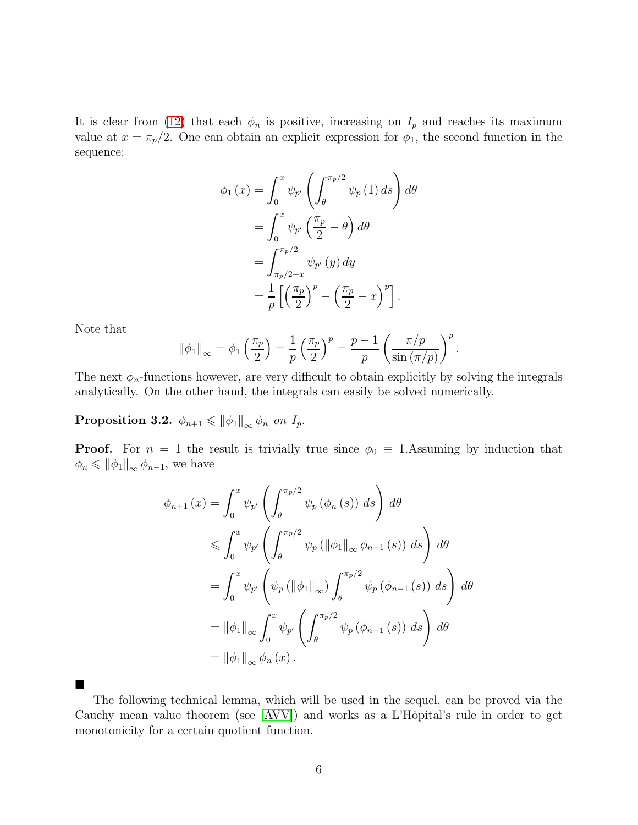It is clear from [\(12\)](#page-4-0) that each  $\phi_n$  is positive, increasing on  $I_p$  and reaches its maximum value at  $x = \pi_p/2$ . One can obtain an explicit expression for  $\phi_1$ , the second function in the sequence:

$$
\phi_1(x) = \int_0^x \psi_{p'} \left( \int_{\theta}^{\pi_p/2} \psi_p(1) ds \right) d\theta
$$
  
= 
$$
\int_0^x \psi_{p'} \left( \frac{\pi_p}{2} - \theta \right) d\theta
$$
  
= 
$$
\int_{\pi_p/2-x}^{\pi_p/2} \psi_{p'}(y) dy
$$
  
= 
$$
\frac{1}{p} \left[ \left( \frac{\pi_p}{2} \right)^p - \left( \frac{\pi_p}{2} - x \right)^p \right].
$$

Note that

п

$$
\|\phi_1\|_{\infty} = \phi_1\left(\frac{\pi_p}{2}\right) = \frac{1}{p}\left(\frac{\pi_p}{2}\right)^p = \frac{p-1}{p}\left(\frac{\pi/p}{\sin\left(\pi/p\right)}\right)^p.
$$

The next  $\phi_n$ -functions however, are very difficult to obtain explicitly by solving the integrals analytically. On the other hand, the integrals can easily be solved numerically.

**Proposition 3.2.**  $\phi_{n+1} \leq \|\phi_1\|_{\infty} \phi_n$  on  $I_p$ .

**Proof.** For  $n = 1$  the result is trivially true since  $\phi_0 \equiv 1$ . Assuming by induction that  $\phi_n \leqslant \|\phi_1\|_{\infty}\,\phi_{n-1},$  we have

$$
\phi_{n+1}(x) = \int_0^x \psi_{p'} \left( \int_\theta^{\pi_{p}/2} \psi_p(\phi_n(s)) ds \right) d\theta
$$
  
\n
$$
\leq \int_0^x \psi_{p'} \left( \int_\theta^{\pi_{p}/2} \psi_p(\|\phi_1\|_\infty \phi_{n-1}(s)) ds \right) d\theta
$$
  
\n
$$
= \int_0^x \psi_{p'} \left( \psi_p(\|\phi_1\|_\infty) \int_\theta^{\pi_{p}/2} \psi_p(\phi_{n-1}(s)) ds \right) d\theta
$$
  
\n
$$
= \|\phi_1\|_\infty \int_0^x \psi_{p'} \left( \int_\theta^{\pi_{p}/2} \psi_p(\phi_{n-1}(s)) ds \right) d\theta
$$
  
\n
$$
= \|\phi_1\|_\infty \int_0^x \psi_{p'} \left( \int_\theta^{\pi_{p}/2} \psi_p(\phi_{n-1}(s)) ds \right) d\theta
$$
  
\n
$$
= \|\phi_1\|_\infty \phi_n(x).
$$

The following technical lemma, which will be used in the sequel, can be proved via the Cauchy mean value theorem (see  $[AVV]$ ) and works as a L'Hôpital's rule in order to get monotonicity for a certain quotient function.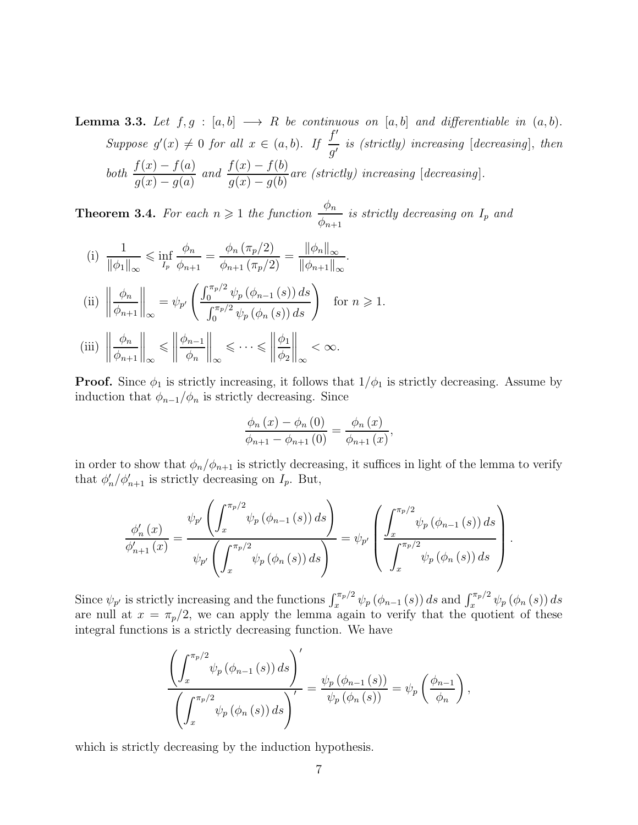**Lemma 3.3.** Let  $f, g : [a, b] \longrightarrow R$  be continuous on  $[a, b]$  and differentiable in  $(a, b)$ . Suppose  $g'(x) \neq 0$  for all  $x \in (a, b)$ . If  $\frac{f'}{g'}$  $\frac{J}{g'}$  is (strictly) increasing [decreasing], then both  $\frac{f(x) - f(a)}{f(a)}$  $g(x) - g(a)$ and  $\frac{f(x) - f(b)}{f(b)}$  $g(x) - g(b)$ are (strictly) increasing [decreasing].

**Theorem 3.4.** For each  $n \geq 1$  the function  $\frac{\phi_n}{\phi_n}$  $\phi_{n+1}$ is strictly decreasing on  $I_p$  and

(i) 
$$
\frac{1}{\|\phi_1\|_{\infty}} \le \inf_{I_p} \frac{\phi_n}{\phi_{n+1}} = \frac{\phi_n(\pi_p/2)}{\phi_{n+1}(\pi_p/2)} = \frac{\|\phi_n\|_{\infty}}{\|\phi_{n+1}\|_{\infty}}.
$$
  
\n(ii) 
$$
\left\|\frac{\phi_n}{\phi_{n+1}}\right\|_{\infty} = \psi_{p'}\left(\frac{\int_0^{\pi_p/2} \psi_p(\phi_{n-1}(s)) ds}{\int_0^{\pi_p/2} \psi_p(\phi_n(s)) ds}\right) \text{ for } n \ge 1.
$$
  
\n(iii) 
$$
\left\|\frac{\phi_n}{\phi_{n+1}}\right\|_{\infty} \le \left\|\frac{\phi_{n-1}}{\phi_n}\right\|_{\infty} \le \cdots \le \left\|\frac{\phi_1}{\phi_2}\right\|_{\infty} < \infty.
$$

**Proof.** Since  $\phi_1$  is strictly increasing, it follows that  $1/\phi_1$  is strictly decreasing. Assume by induction that  $\phi_{n-1}/\phi_n$  is strictly decreasing. Since

$$
\frac{\phi_n(x) - \phi_n(0)}{\phi_{n+1} - \phi_{n+1}(0)} = \frac{\phi_n(x)}{\phi_{n+1}(x)},
$$

in order to show that  $\phi_n/\phi_{n+1}$  is strictly decreasing, it suffices in light of the lemma to verify that  $\phi'_i$  $I'_n/\phi'_{n+1}$  is strictly decreasing on  $I_p$ . But,

$$
\frac{\phi'_{n}(x)}{\phi'_{n+1}(x)} = \frac{\psi_{p'}\left(\int_{x}^{\pi_{p}/2} \psi_{p}\left(\phi_{n-1}\left(s\right)\right)ds\right)}{\psi_{p'}\left(\int_{x}^{\pi_{p}/2} \psi_{p}\left(\phi_{n}\left(s\right)\right)ds\right)} = \psi_{p'}\left(\frac{\int_{x}^{\pi_{p}/2} \psi_{p}\left(\phi_{n-1}\left(s\right)\right)ds}{\int_{x}^{\pi_{p}/2} \psi_{p}\left(\phi_{n}\left(s\right)\right)ds}\right).
$$

Since  $\psi_{p'}$  is strictly increasing and the functions  $\int_x^{\pi_p/2} \psi_p(\phi_{n-1}(s)) ds$  and  $\int_x^{\pi_p/2} \psi_p(\phi_n(s)) ds$ are null at  $x = \pi_p/2$ , we can apply the lemma again to verify that the quotient of these integral functions is a strictly decreasing function. We have

$$
\frac{\left(\int_x^{\pi_p/2} \psi_p(\phi_{n-1}(s)) ds\right)^{\prime}}{\left(\int_x^{\pi_p/2} \psi_p(\phi_n(s)) ds\right)^{\prime}} = \frac{\psi_p(\phi_{n-1}(s))}{\psi_p(\phi_n(s))} = \psi_p\left(\frac{\phi_{n-1}}{\phi_n}\right),
$$

which is strictly decreasing by the induction hypothesis.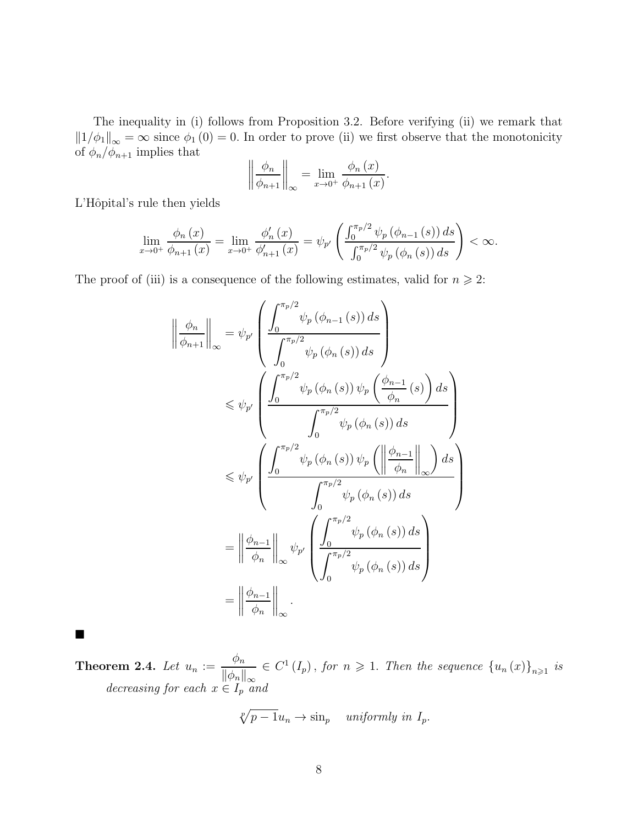The inequality in (i) follows from Proposition 3.2. Before verifying (ii) we remark that  $||1/\phi_1||_{\infty} = \infty$  since  $\phi_1(0) = 0$ . In order to prove (ii) we first observe that the monotonicity of  $\phi_n/\phi_{n+1}$  implies that

$$
\left\|\frac{\phi_n}{\phi_{n+1}}\right\|_{\infty} = \lim_{x\to 0^+} \frac{\phi_n(x)}{\phi_{n+1}(x)}.
$$

L'Hôpital's rule then yields

$$
\lim_{x \to 0^+} \frac{\phi_n(x)}{\phi_{n+1}(x)} = \lim_{x \to 0^+} \frac{\phi'_n(x)}{\phi'_{n+1}(x)} = \psi_{p'} \left( \frac{\int_0^{\pi_p/2} \psi_p(\phi_{n-1}(s)) ds}{\int_0^{\pi_p/2} \psi_p(\phi_n(s)) ds} \right) < \infty.
$$

The proof of (iii) is a consequence of the following estimates, valid for  $n \geq 2$ :

$$
\left\| \frac{\phi_n}{\phi_{n+1}} \right\|_{\infty} = \psi_{p'} \left( \frac{\int_0^{\pi_p/2} \psi_p(\phi_{n-1}(s)) ds}{\int_0^{\pi_p/2} \psi_p(\phi_n(s)) ds} \right)
$$
  

$$
\leq \psi_{p'} \left( \frac{\int_0^{\pi_p/2} \psi_p(\phi_n(s)) \psi_p\left(\frac{\phi_{n-1}}{\phi_n}(s)\right) ds}{\int_0^{\pi_p/2} \psi_p(\phi_n(s)) ds} \right)
$$
  

$$
\leq \psi_{p'} \left( \frac{\int_0^{\pi_p/2} \psi_p(\phi_n(s)) \psi_p\left(\left\|\frac{\phi_{n-1}}{\phi_n}\right\|_{\infty}\right) ds}{\int_0^{\pi_p/2} \psi_p(\phi_n(s)) ds} \right)
$$
  

$$
= \left\| \frac{\phi_{n-1}}{\phi_n} \right\|_{\infty} \psi_{p'} \left( \frac{\int_0^{\pi_p/2} \psi_p(\phi_n(s)) ds}{\int_0^{\pi_p/2} \psi_p(\phi_n(s)) ds} \right)
$$
  

$$
= \left\| \frac{\phi_{n-1}}{\phi_n} \right\|_{\infty} .
$$

 $\blacksquare$ 

**Theorem 2.4.** Let  $u_n := \frac{\phi_n}{\frac{1}{n} + \frac{1}{n}}$  $\|\phi_n\|_{\infty}$  $\in C^{1}(I_{p})$ , for  $n \geqslant 1$ . Then the sequence  ${u_{n}(x)}_{n \geqslant 1}$  is decreasing for each  $x \in I_p$  and

$$
\sqrt[p]{p-1}u_n \to \sin_p \quad \text{uniformly in } I_p.
$$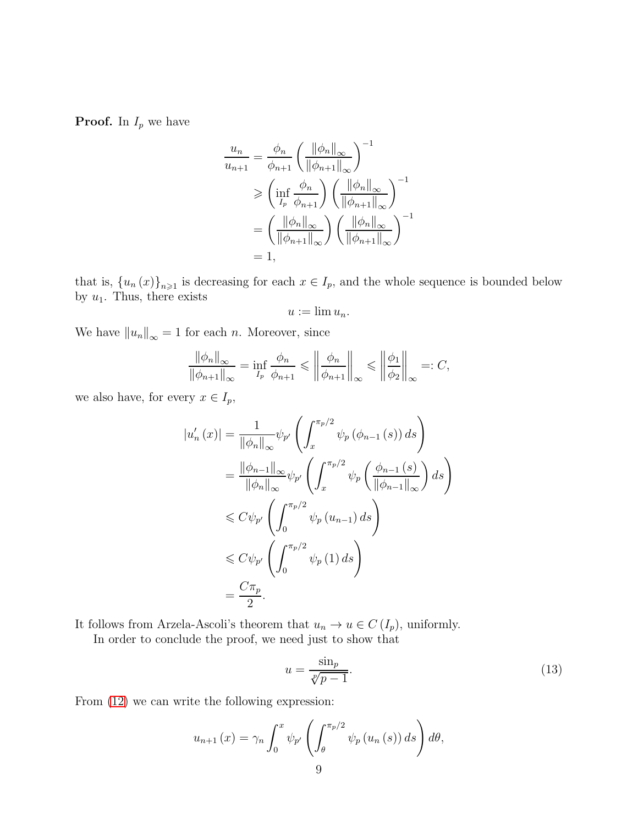**Proof.** In  $I_p$  we have

$$
\frac{u_n}{u_{n+1}} = \frac{\phi_n}{\phi_{n+1}} \left( \frac{\|\phi_n\|_{\infty}}{\|\phi_{n+1}\|_{\infty}} \right)^{-1}
$$

$$
\geq \left( \inf_{I_p} \frac{\phi_n}{\phi_{n+1}} \right) \left( \frac{\|\phi_n\|_{\infty}}{\|\phi_{n+1}\|_{\infty}} \right)^{-1}
$$

$$
= \left( \frac{\|\phi_n\|_{\infty}}{\|\phi_{n+1}\|_{\infty}} \right) \left( \frac{\|\phi_n\|_{\infty}}{\|\phi_{n+1}\|_{\infty}} \right)^{-1}
$$

$$
= 1,
$$

that is,  ${u_n(x)}_{n\geqslant 1}$  is decreasing for each  $x \in I_p$ , and the whole sequence is bounded below by  $u_1$ . Thus, there exists

$$
u:=\lim u_n.
$$

We have  $||u_n||_{\infty} = 1$  for each *n*. Moreover, since

$$
\frac{\|\phi_n\|_{\infty}}{\|\phi_{n+1}\|_{\infty}} = \inf_{I_p} \frac{\phi_n}{\phi_{n+1}} \le \left\|\frac{\phi_n}{\phi_{n+1}}\right\|_{\infty} \le \left\|\frac{\phi_1}{\phi_2}\right\|_{\infty} =: C,
$$

we also have, for every  $x \in I_p$ ,

$$
|u'_{n}(x)| = \frac{1}{\|\phi_{n}\|_{\infty}} \psi_{p'} \left( \int_{x}^{\pi_{p}/2} \psi_{p}(\phi_{n-1}(s)) ds \right)
$$
  
\n
$$
= \frac{\|\phi_{n-1}\|_{\infty}}{\|\phi_{n}\|_{\infty}} \psi_{p'} \left( \int_{x}^{\pi_{p}/2} \psi_{p} \left( \frac{\phi_{n-1}(s)}{\|\phi_{n-1}\|_{\infty}} \right) ds \right)
$$
  
\n
$$
\leq C \psi_{p'} \left( \int_{0}^{\pi_{p}/2} \psi_{p}(u_{n-1}) ds \right)
$$
  
\n
$$
\leq C \psi_{p'} \left( \int_{0}^{\pi_{p}/2} \psi_{p}(1) ds \right)
$$
  
\n
$$
= \frac{C \pi_{p}}{2}.
$$

It follows from Arzela-Ascoli's theorem that  $u_n \to u \in C(I_p)$ , uniformly.

In order to conclude the proof, we need just to show that

<span id="page-8-0"></span>
$$
u = \frac{\sin_p}{\sqrt[p]{p-1}}.\tag{13}
$$

From [\(12\)](#page-4-0) we can write the following expression:

$$
u_{n+1}(x) = \gamma_n \int_0^x \psi_{p'} \left( \int_\theta^{\pi_p/2} \psi_p(u_n(s)) ds \right) d\theta,
$$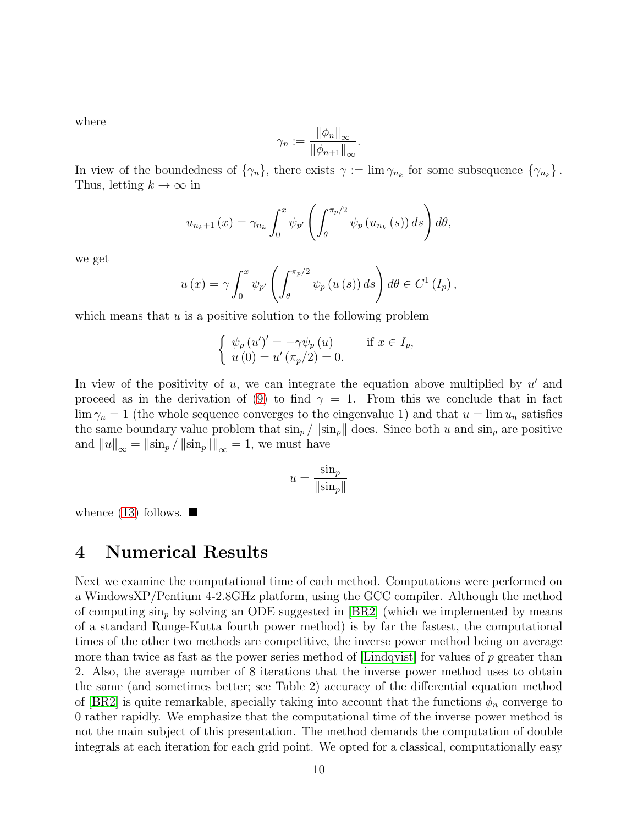where

$$
\gamma_n := \frac{\|\phi_n\|_{\infty}}{\|\phi_{n+1}\|_{\infty}}.
$$

In view of the boundedness of  $\{\gamma_n\}$ , there exists  $\gamma := \lim \gamma_{n_k}$  for some subsequence  $\{\gamma_{n_k}\}$ . Thus, letting  $k \to \infty$  in

$$
u_{n_{k}+1}(x) = \gamma_{n_{k}} \int_{0}^{x} \psi_{p'}\left(\int_{\theta}^{\pi_{p}/2} \psi_{p}\left(u_{n_{k}}\left(s\right)\right) ds\right) d\theta,
$$

we get

$$
u(x) = \gamma \int_0^x \psi_{p'} \left( \int_\theta^{\pi_p/2} \psi_p(u(s)) ds \right) d\theta \in C^1(I_p),
$$

which means that  $u$  is a positive solution to the following problem

$$
\begin{cases}\n\psi_p(u')' = -\gamma \psi_p(u) & \text{if } x \in I_p, \\
u(0) = u'(\pi_p/2) = 0.\n\end{cases}
$$

In view of the positivity of  $u$ , we can integrate the equation above multiplied by  $u'$  and proceed as in the derivation of [\(9\)](#page-3-0) to find  $\gamma = 1$ . From this we conclude that in fact  $\lim \gamma_n = 1$  (the whole sequence converges to the eingenvalue 1) and that  $u = \lim u_n$  satisfies the same boundary value problem that  $\sin_p / ||\sin_p||$  does. Since both u and  $\sin_p$  are positive and  $||u||_{\infty} = ||\sin_p / ||\sin_p|| ||_{\infty} = 1$ , we must have

$$
u = \frac{\sin_p}{\|\sin_p\|}
$$

whence  $(13)$  follows.  $\blacksquare$ 

#### 4 Numerical Results

Next we examine the computational time of each method. Computations were performed on a WindowsXP/Pentium 4-2.8GHz platform, using the GCC compiler. Although the method of computing  $\sin_p$  by solving an ODE suggested in [\[BR2\]](#page-12-3) (which we implemented by means of a standard Runge-Kutta fourth power method) is by far the fastest, the computational times of the other two methods are competitive, the inverse power method being on average more than twice as fast as the power series method of  $\text{Lindqvist}$  for values of p greater than 2. Also, the average number of 8 iterations that the inverse power method uses to obtain the same (and sometimes better; see Table 2) accuracy of the differential equation method of [\[BR2\]](#page-12-3) is quite remarkable, specially taking into account that the functions  $\phi_n$  converge to 0 rather rapidly. We emphasize that the computational time of the inverse power method is not the main subject of this presentation. The method demands the computation of double integrals at each iteration for each grid point. We opted for a classical, computationally easy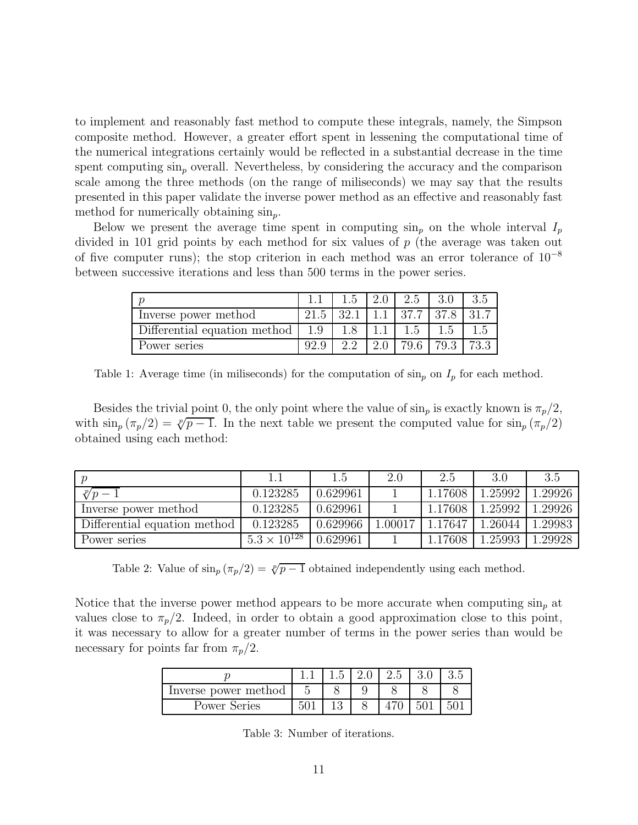to implement and reasonably fast method to compute these integrals, namely, the Simpson composite method. However, a greater effort spent in lessening the computational time of the numerical integrations certainly would be reflected in a substantial decrease in the time spent computing  $\sin_p$  overall. Nevertheless, by considering the accuracy and the comparison scale among the three methods (on the range of miliseconds) we may say that the results presented in this paper validate the inverse power method as an effective and reasonably fast method for numerically obtaining  $\sin_p$ .

Below we present the average time spent in computing  $\sin_p$  on the whole interval  $I_p$ divided in 101 grid points by each method for six values of p (the average was taken out of five computer runs); the stop criterion in each method was an error tolerance of  $10^{-8}$ between successive iterations and less than 500 terms in the power series.

|                              |      |      | 2.0 | 2.5   |       |         |
|------------------------------|------|------|-----|-------|-------|---------|
| Inverse power method         | 21.5 | 32.1 |     | 137.7 | 137.8 | $-31.7$ |
| Differential equation method | 1.9  |      |     | 1.5   | 1.5   |         |
| Power series                 |      |      |     | 79.6  | 79.3  | 73.3    |

Table 1: Average time (in miliseconds) for the computation of  $\sin_p$  on  $I_p$  for each method.

Besides the trivial point 0, the only point where the value of  $\sin_p$  is exactly known is  $\pi_p/2$ , with  $\sin_p (\pi_p/2) = \sqrt[p]{p-1}$ . In the next table we present the computed value for  $\sin_p (\pi_p/2)$ obtained using each method:

|                              |                         | $\mathsf{d}$ . $\mathsf{d}$ | 2.0     | 2.5     | 3.0     | -3.5    |
|------------------------------|-------------------------|-----------------------------|---------|---------|---------|---------|
| $\sqrt[p]{p-1}$              | 0.123285                | 0.629961                    |         | 1.17608 | 1.25992 | 1.29926 |
| Inverse power method         | 0.123285                | 0.629961                    |         | 1.17608 | 1.25992 | 1.29926 |
| Differential equation method | 0.123285                | 0.629966                    | 1.00017 | 1.17647 | 1.26044 | 1.29983 |
| Power series                 | $1.5.3 \times 10^{128}$ | 0.629961                    |         | 1.17608 | 1.25993 | 1.29928 |

Table 2: Value of  $\sin_p (\pi_p/2) = \sqrt[p]{p-1}$  obtained independently using each method.

Notice that the inverse power method appears to be more accurate when computing  $\sin_p$  at values close to  $\pi_p/2$ . Indeed, in order to obtain a good approximation close to this point, it was necessary to allow for a greater number of terms in the power series than would be necessary for points far from  $\pi_p/2$ .

|                      |  | 2.5 |  |
|----------------------|--|-----|--|
| Inverse power method |  |     |  |
| Power Series         |  |     |  |

Table 3: Number of iterations.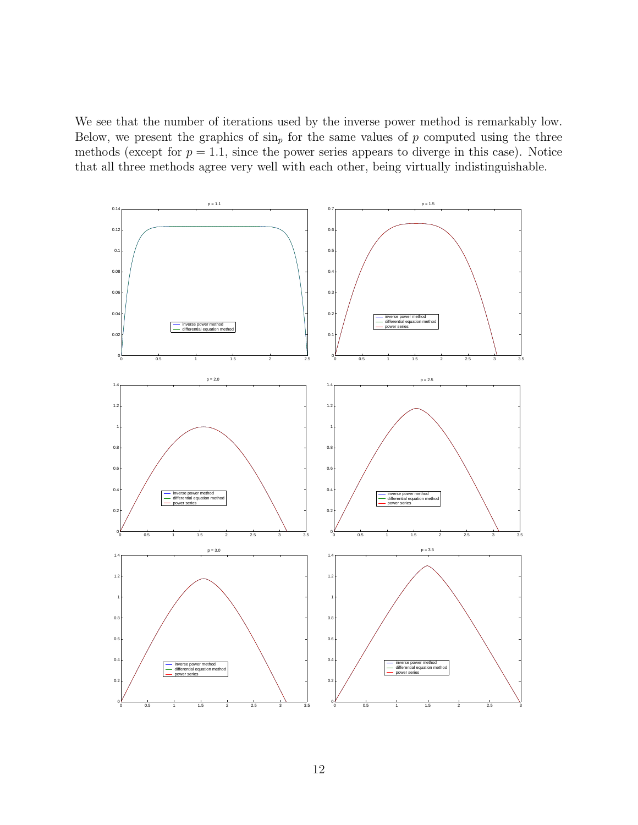We see that the number of iterations used by the inverse power method is remarkably low. Below, we present the graphics of  $\sin_p$  for the same values of p computed using the three methods (except for  $p = 1.1$ , since the power series appears to diverge in this case). Notice that all three methods agree very well with each other, being virtually indistinguishable.